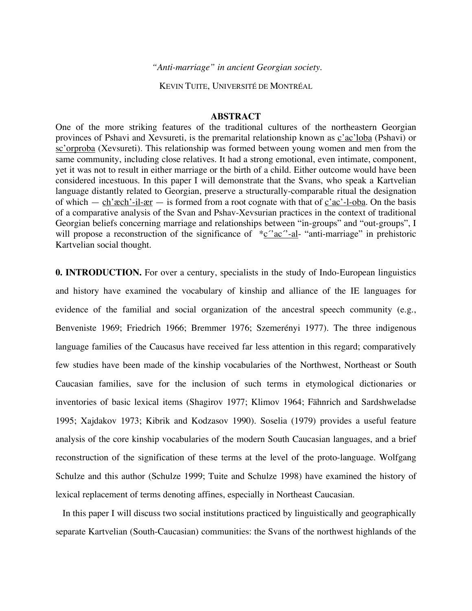*"Anti-marriage" in ancient Georgian society.*

KEVIN TUITE, UNIVERSITÉ DE MONTRÉAL

### **ABSTRACT**

One of the more striking features of the traditional cultures of the northeastern Georgian provinces of Pshavi and Xevsureti, is the premarital relationship known as c'ac'loba (Pshavi) or sc'orproba (Xevsureti). This relationship was formed between young women and men from the same community, including close relatives. It had a strong emotional, even intimate, component, yet it was not to result in either marriage or the birth of a child. Either outcome would have been considered incestuous. In this paper I will demonstrate that the Svans, who speak a Kartvelian language distantly related to Georgian, preserve a structurally-comparable ritual the designation of which — ch'æch'-il-ær — is formed from a root cognate with that of  $c'ac'$ -l-oba. On the basis of a comparative analysis of the Svan and Pshav-Xevsurian practices in the context of traditional Georgian beliefs concerning marriage and relationships between "in-groups" and "out-groups", I will propose a reconstruction of the significance of  $\frac{c^{\prime\prime}c^{\prime\prime}-a}{c^{\prime\prime}-a}$  "anti-marriage" in prehistoric Kartvelian social thought.

**0. INTRODUCTION.** For over a century, specialists in the study of Indo-European linguistics and history have examined the vocabulary of kinship and alliance of the IE languages for evidence of the familial and social organization of the ancestral speech community (e.g., Benveniste 1969; Friedrich 1966; Bremmer 1976; Szemerényi 1977). The three indigenous language families of the Caucasus have received far less attention in this regard; comparatively few studies have been made of the kinship vocabularies of the Northwest, Northeast or South Caucasian families, save for the inclusion of such terms in etymological dictionaries or inventories of basic lexical items (Shagirov 1977; Klimov 1964; Fähnrich and Sardshweladse 1995; Xajdakov 1973; Kibrik and Kodzasov 1990). Soselia (1979) provides a useful feature analysis of the core kinship vocabularies of the modern South Caucasian languages, and a brief reconstruction of the signification of these terms at the level of the proto-language. Wolfgang Schulze and this author (Schulze 1999; Tuite and Schulze 1998) have examined the history of lexical replacement of terms denoting affines, especially in Northeast Caucasian.

In this paper I will discuss two social institutions practiced by linguistically and geographically separate Kartvelian (South-Caucasian) communities: the Svans of the northwest highlands of the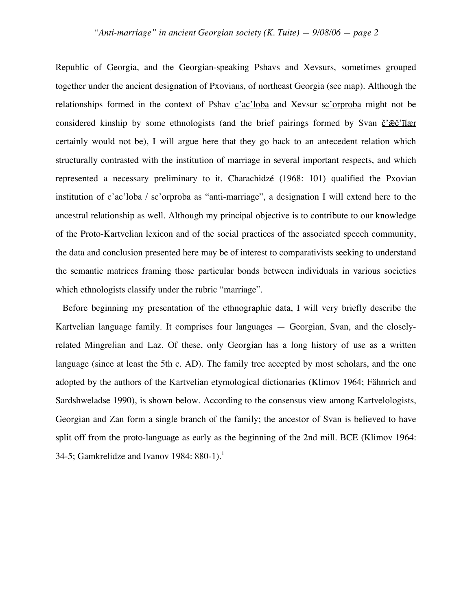Republic of Georgia, and the Georgian-speaking Pshavs and Xevsurs, sometimes grouped together under the ancient designation of Pxovians, of northeast Georgia (see map). Although the relationships formed in the context of Pshav  $c'ac'loba$  and Xevsur  $sc'orproba$  might not be considered kinship by some ethnologists (and the brief pairings formed by Svan č'æč'īlær certainly would not be), I will argue here that they go back to an antecedent relation which structurally contrasted with the institution of marriage in several important respects, and which represented a necessary preliminary to it. Charachidzé (1968: 101) qualified the Pxovian institution of  $\frac{c'ac'loba}{sc'orboda}$  as "anti-marriage", a designation I will extend here to the ancestral relationship as well. Although my principal objective is to contribute to our knowledge of the Proto-Kartvelian lexicon and of the social practices of the associated speech community, the data and conclusion presented here may be of interest to comparativists seeking to understand the semantic matrices framing those particular bonds between individuals in various societies which ethnologists classify under the rubric "marriage".

Before beginning my presentation of the ethnographic data, I will very briefly describe the Kartvelian language family. It comprises four languages — Georgian, Svan, and the closelyrelated Mingrelian and Laz. Of these, only Georgian has a long history of use as a written language (since at least the 5th c. AD). The family tree accepted by most scholars, and the one adopted by the authors of the Kartvelian etymological dictionaries (Klimov 1964; Fähnrich and Sardshweladse 1990), is shown below. According to the consensus view among Kartvelologists, Georgian and Zan form a single branch of the family; the ancestor of Svan is believed to have split off from the proto-language as early as the beginning of the 2nd mill. BCE (Klimov 1964: 34-5; Gamkrelidze and Ivanov 1984:  $880-1$ ).<sup>1</sup>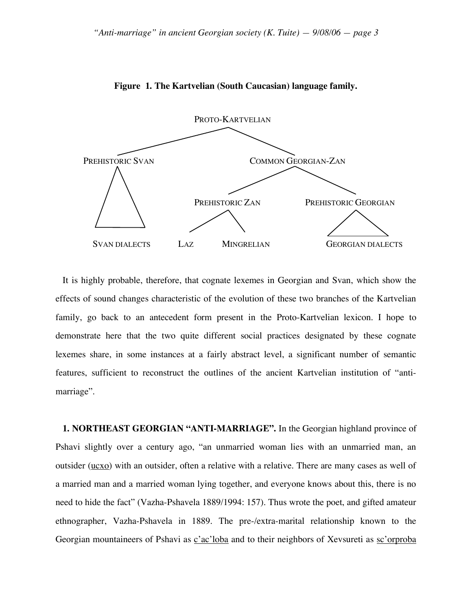

**Figure 1. The Kartvelian (South Caucasian) language family.**

It is highly probable, therefore, that cognate lexemes in Georgian and Svan, which show the effects of sound changes characteristic of the evolution of these two branches of the Kartvelian family, go back to an antecedent form present in the Proto-Kartvelian lexicon. I hope to demonstrate here that the two quite different social practices designated by these cognate lexemes share, in some instances at a fairly abstract level, a significant number of semantic features, sufficient to reconstruct the outlines of the ancient Kartvelian institution of "antimarriage".

**1. NORTHEAST GEORGIAN "ANTI-MARRIAGE".** In the Georgian highland province of Pshavi slightly over a century ago, "an unmarried woman lies with an unmarried man, an outsider  $(ucxo)$  with an outsider, often a relative with a relative. There are many cases as well of a married man and a married woman lying together, and everyone knows about this, there is no need to hide the fact" (Vazha-Pshavela 1889/1994: 157). Thus wrote the poet, and gifted amateur ethnographer, Vazha-Pshavela in 1889. The pre-/extra-marital relationship known to the Georgian mountaineers of Pshavi as c'ac'loba and to their neighbors of Xevsureti as sc'orproba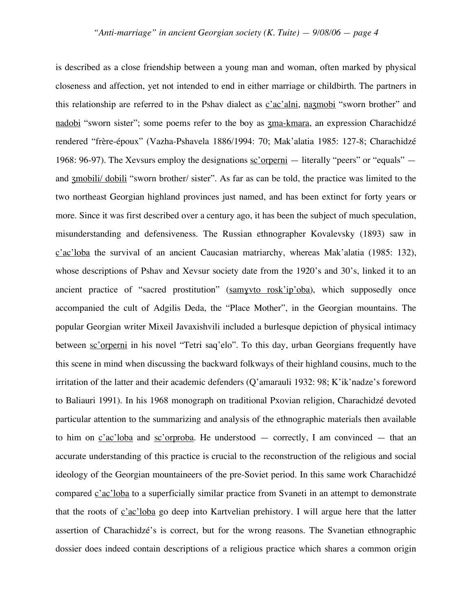is described as a close friendship between a young man and woman, often marked by physical closeness and affection, yet not intended to end in either marriage or childbirth. The partners in this relationship are referred to in the Pshav dialect as c'ac'alni, nazmobi "sworn brother" and nadobi "sworn sister"; some poems refer to the boy as zma-kmara, an expression Charachidzé rendered "frère-époux" (Vazha-Pshavela 1886/1994: 70; Mak'alatia 1985: 127-8; Charachidzé 1968: 96-97). The Xevsurs employ the designations  $sc'$  or  $i$  — literally "peers" or "equals" and zmobili/ dobili "sworn brother/ sister". As far as can be told, the practice was limited to the two northeast Georgian highland provinces just named, and has been extinct for forty years or more. Since it was first described over a century ago, it has been the subject of much speculation, misunderstanding and defensiveness. The Russian ethnographer Kovalevsky (1893) saw in c'ac'loba the survival of an ancient Caucasian matriarchy, whereas Mak'alatia (1985: 132), whose descriptions of Pshav and Xevsur society date from the 1920's and 30's, linked it to an ancient practice of "sacred prostitution" (samyvto rosk'ip'oba), which supposedly once accompanied the cult of Adgilis Deda, the "Place Mother", in the Georgian mountains. The popular Georgian writer Mixeil Javaxishvili included a burlesque depiction of physical intimacy between sc'orperni in his novel "Tetri saq'elo". To this day, urban Georgians frequently have this scene in mind when discussing the backward folkways of their highland cousins, much to the irritation of the latter and their academic defenders (Q'amarauli 1932: 98; K'ik'nadze's foreword to Baliauri 1991). In his 1968 monograph on traditional Pxovian religion, Charachidzé devoted particular attention to the summarizing and analysis of the ethnographic materials then available to him on  $c'ac'loba$  and  $sc'orproba$ . He understood  $-$  correctly, I am convinced  $-$  that an accurate understanding of this practice is crucial to the reconstruction of the religious and social ideology of the Georgian mountaineers of the pre-Soviet period. In this same work Charachidzé compared c'ac'loba to a superficially similar practice from Svaneti in an attempt to demonstrate that the roots of  $c'ac'loba$  go deep into Kartvelian prehistory. I will argue here that the latter assertion of Charachidzé's is correct, but for the wrong reasons. The Svanetian ethnographic dossier does indeed contain descriptions of a religious practice which shares a common origin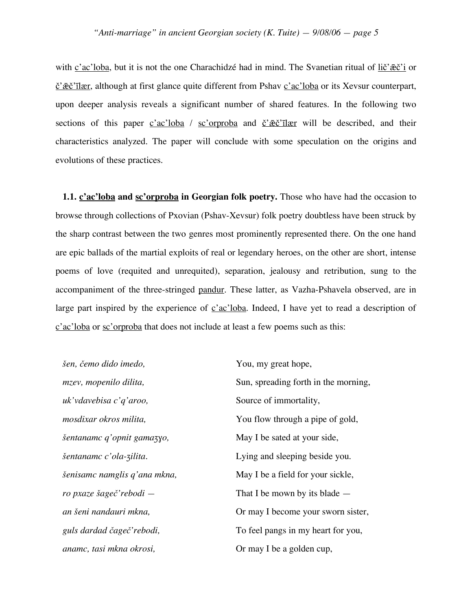with c'ac'loba, but it is not the one Charachidzé had in mind. The Svanetian ritual of lič' $\tilde{z}$ eč'i or  $\check{c}'\check{c}\check{c}'\check{c}'\check{c}''$  although at first glance quite different from Pshav  $\check{c}'\check{c}''\check{c}'\check{c}''$  or its Xevsur counterpart, upon deeper analysis reveals a significant number of shared features. In the following two sections of this paper  $c'ac' loba$  /  $sc'orproba$  and  $\breve{c'}\bar{c}c''$  will be described, and their characteristics analyzed. The paper will conclude with some speculation on the origins and evolutions of these practices.

**1.1. c'ac'loba and sc'orproba in Georgian folk poetry.** Those who have had the occasion to browse through collections of Pxovian (Pshav-Xevsur) folk poetry doubtless have been struck by the sharp contrast between the two genres most prominently represented there. On the one hand are epic ballads of the martial exploits of real or legendary heroes, on the other are short, intense poems of love (requited and unrequited), separation, jealousy and retribution, sung to the accompaniment of the three-stringed pandur. These latter, as Vazha-Pshavela observed, are in large part inspired by the experience of  $c'ac'loba$ . Indeed, I have yet to read a description of c'ac'loba or sc'orproba that does not include at least a few poems such as this:

*šen, čemo dido imedo,* You, my great hope, *uk'vdavebisa c'q'aroo,* Source of immortality, *šentanamc q'opnit gamaʒɣo,* May I be sated at your side, *anamc, tasi mkna okrosi,* Or may I be a golden cup,

*mzev, mopenilo dilita,* Sun, spreading forth in the morning, *mosdixar okros milita*,  $\qquad \qquad$  You flow through a pipe of gold, *šentanamc c'ola-ʒilita.* Lying and sleeping beside you. *šenisamc namglis q'ana mkna*, May I be a field for your sickle, *ro pxaze šageč'rebodi —* That I be mown by its blade *an šeni nandauri mkna,* Or may I become your sworn sister, *guls dardad čageč'rebodi,* To feel pangs in my heart for you,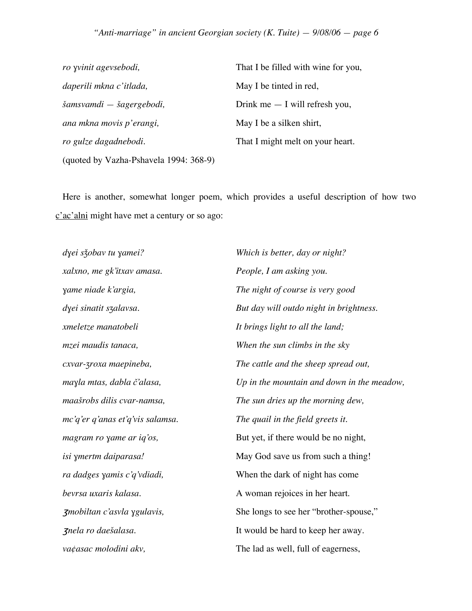## *"Anti-marriage" in ancient Georgian society (K. Tuite) — 9/08/06 — page 6*

| ro yvinit agevsebodi,                  | That I be filled with wine for you, |  |  |
|----------------------------------------|-------------------------------------|--|--|
| daperili mkna c'itlada,                | May I be tinted in red,             |  |  |
| šamsvamdi — šagergebodi,               | Drink me $-$ I will refresh you,    |  |  |
| ana mkna movis p'erangi,               | May I be a silken shirt,            |  |  |
| ro gulze dagadnebodi.                  | That I might melt on your heart.    |  |  |
| (quoted by Vazha-Pshavela 1994: 368-9) |                                     |  |  |

Here is another, somewhat longer poem, which provides a useful description of how two c'ac'alni might have met a century or so ago:

*dɣei sǯobav tu ɣamei? Which is better, day or night? xalxno, me gk'itxav amasa. People, I am asking you. xmeletze manatobeli It brings light to all the land; mc'q'er q'anas et'q'vis salamsa. The quail in the field greets it. va¢asac molodini akv*, The lad as well, full of eagerness,

*ɣame niade k'argia, The night of course is very good dɣei sinatit sʒalavsa. But day will outdo night in brightness. mzei maudis tanaca, When the sun climbs in the sky cxvar-ʒroxa maepineba, The cattle and the sheep spread out, maɣla mtas, dabla č'alasa, Up in the mountain and down in the meadow, maašrobs dilis cvar-namsa, The sun dries up the morning dew, magram ro yame ar iq'os*, But yet, if there would be no night, *isi ɣmertm daiparasa!* May God save us from such a thing! *ra dadges ɣamis c'q'vdiadi,* When the dark of night has come *bevrsa uxaris kalasa.* A woman rejoices in her heart. ʒ*mobiltan c'asvla ɣgulavis,* She longs to see her "brother-spouse," <sup>ʒ</sup>*nela ro daešalasa.* It would be hard to keep her away.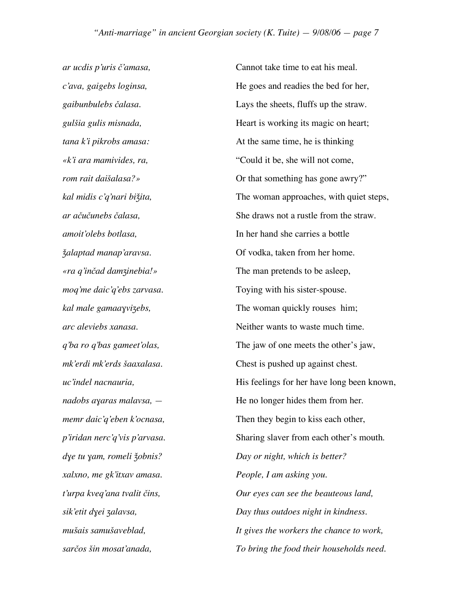*ar ucdis p'uris č'amasa,* Cannot take time to eat his meal. *xalxno, me gk'itxav amasa. People, I am asking you.*

*c'ava, gaigebs loginsa,* He goes and readies the bed for her, *gaibunbulebs čalasa.* Lays the sheets, fluffs up the straw. *gulšia gulis misnada*, **Heart is working its magic on heart**; *tana k'i pikrobs amasa:* At the same time, he is thinking *«k'i ara mamivides, ra,* "Could it be, she will not come, *rom rait daišalasa?»* Or that something has gone awry?" *kal midis c'q'nari biǯita*, The woman approaches, with quiet steps, *ar ačučunebs čalasa,* She draws not a rustle from the straw. *amoit'olebs botlasa,* In her hand she carries a bottle *ǯalaptad manap'aravsa.* Of vodka, taken from her home. *«ra q'inčad damʒinebia!»* The man pretends to be asleep, *moq'me daic'q'ebs zarvasa*. Toying with his sister-spouse. *kal male gamaaɣviʒebs,* The woman quickly rouses him; *arc aleviebs xanasa.* Neither wants to waste much time. *q'ba ro q'bas gameet'olas,* The jaw of one meets the other's jaw, *mk'erdi mk'erds šaaxalasa.* Chest is pushed up against chest. *uc'indel nacnauria*, **His feelings for her have long been known**, *nadobs ayaras malavsa*,  $-$  He no longer hides them from her. *memr daic'q'eben k'ocnasa*, Then they begin to kiss each other, *p'iridan nerc'q'vis p'arvasa.* Sharing slaver from each other's mouth. *dɣe tu ɣam, romeli ǯobnis? Day or night, which is better? t'urpa kveq'ana tvalit čins, Our eyes can see the beauteous land, sik'etit dɣei ʒalavsa, Day thus outdoes night in kindness. mušais samušaveblad, It gives the workers the chance to work, sarčos šin mosat'anada, To bring the food their households need.*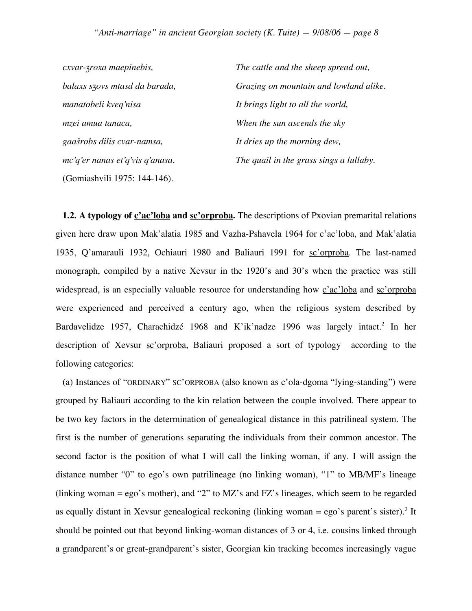| cxvar-zroxa maepinebis,            | The cattle and the sheep spread out,    |  |
|------------------------------------|-----------------------------------------|--|
| balaxs szovs mtasd da barada,      | Grazing on mountain and lowland alike.  |  |
| manatobeli kveq'nisa               | It brings light to all the world,       |  |
| mzei amua tanaca,                  | When the sun ascends the sky            |  |
| gaašrobs dilis cvar-namsa,         | It dries up the morning dew,            |  |
| $mc'q'$ er nanas et'q'vis q'anasa. | The quail in the grass sings a lullaby. |  |
| (Gomiashvili 1975: 144-146).       |                                         |  |

**1.2. A typology of c'ac'loba and sc'orproba.** The descriptions of Pxovian premarital relations given here draw upon Mak'alatia 1985 and Vazha-Pshavela 1964 for c'ac'loba, and Mak'alatia 1935, Q'amarauli 1932, Ochiauri 1980 and Baliauri 1991 for sc'orproba. The last-named monograph, compiled by a native Xevsur in the 1920's and 30's when the practice was still widespread, is an especially valuable resource for understanding how  $c'ac'$  loba and sc'orproba were experienced and perceived a century ago, when the religious system described by Bardavelidze 1957, Charachidzé 1968 and K'ik'nadze 1996 was largely intact. <sup>2</sup> In her description of Xevsur sc'orproba, Baliauri proposed a sort of typology according to the following categories:

(a) Instances of "ORDINARY"  $SC'ORPROBA$  (also known as  $c'ola-dgoma$  "lying-standing") were grouped by Baliauri according to the kin relation between the couple involved. There appear to be two key factors in the determination of genealogical distance in this patrilineal system. The first is the number of generations separating the individuals from their common ancestor. The second factor is the position of what I will call the linking woman, if any. I will assign the distance number "0" to ego's own patrilineage (no linking woman), "1" to MB/MF's lineage (linking woman = ego's mother), and "2" to MZ's and FZ's lineages, which seem to be regarded as equally distant in Xevsur genealogical reckoning (linking woman = ego's parent's sister).<sup>3</sup> It should be pointed out that beyond linking-woman distances of 3 or 4, i.e. cousins linked through a grandparent's or great-grandparent's sister, Georgian kin tracking becomes increasingly vague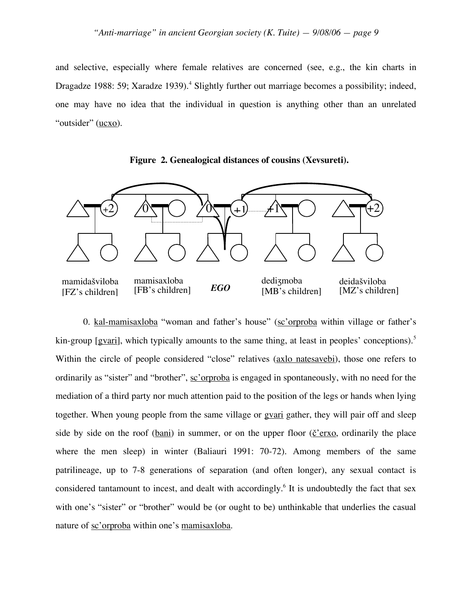and selective, especially where female relatives are concerned (see, e.g., the kin charts in Dragadze 1988: 59; Xaradze 1939).<sup>4</sup> Slightly further out marriage becomes a possibility; indeed, one may have no idea that the individual in question is anything other than an unrelated "outsider" (ucxo).





0. kal-mamisaxloba "woman and father's house" (sc'orproba within village or father's kin-group [gvari], which typically amounts to the same thing, at least in peoples' conceptions).<sup>5</sup> Within the circle of people considered "close" relatives (axlo natesavebi), those one refers to ordinarily as "sister" and "brother", sc'orproba is engaged in spontaneously, with no need for the mediation of a third party nor much attention paid to the position of the legs or hands when lying together. When young people from the same village or gvari gather, they will pair off and sleep side by side on the roof (bani) in summer, or on the upper floor ( $\check{c}$ 'erxo, ordinarily the place where the men sleep) in winter (Baliauri 1991: 70-72). Among members of the same patrilineage, up to 7-8 generations of separation (and often longer), any sexual contact is considered tantamount to incest, and dealt with accordingly.<sup>6</sup> It is undoubtedly the fact that sex with one's "sister" or "brother" would be (or ought to be) unthinkable that underlies the casual nature of sc'orproba within one's mamisaxloba.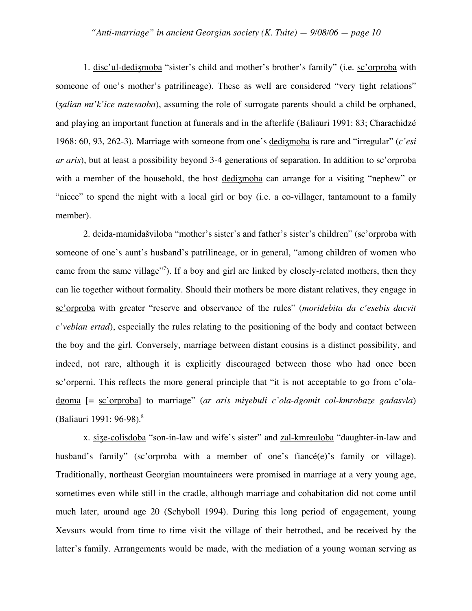1. disc'ul-dedizmoba "sister's child and mother's brother's family" (i.e. sc'orproba with someone of one's mother's patrilineage). These as well are considered "very tight relations" (*ʒalian mt'k'ice natesaoba*), assuming the role of surrogate parents should a child be orphaned, and playing an important function at funerals and in the afterlife (Baliauri 1991: 83; Charachidzé 1968: 60, 93, 262-3). Marriage with someone from one's dediʒmoba is rare and "irregular" (*c'esi ar aris*), but at least a possibility beyond 3-4 generations of separation. In addition to sc'orproba with a member of the household, the host dedizmoba can arrange for a visiting "nephew" or "niece" to spend the night with a local girl or boy (i.e. a co-villager, tantamount to a family member).

2. deida-mamidašviloba "mother's sister's and father's sister's children" (sc'orproba with someone of one's aunt's husband's patrilineage, or in general, "among children of women who came from the same village"<sup>7</sup>). If a boy and girl are linked by closely-related mothers, then they can lie together without formality. Should their mothers be more distant relatives, they engage in sc'orproba with greater "reserve and observance of the rules" (*moridebita da c'esebis dacvit c'vebian ertad*), especially the rules relating to the positioning of the body and contact between the boy and the girl. Conversely, marriage between distant cousins is a distinct possibility, and indeed, not rare, although it is explicitly discouraged between those who had once been sc'orperni. This reflects the more general principle that "it is not acceptable to go from c'oladgoma [= sc'orproba] to marriage" (*ar aris miɣebuli c'ola-dgomit col-kmrobaze gadasvla*) (Baliauri 1991: 96-98). 8

x. size-colisdoba "son-in-law and wife's sister" and zal-kmreuloba "daughter-in-law and husband's family" (sc'orproba with a member of one's fiance (e)'s family or village). Traditionally, northeast Georgian mountaineers were promised in marriage at a very young age, sometimes even while still in the cradle, although marriage and cohabitation did not come until much later, around age 20 (Schyboll 1994). During this long period of engagement, young Xevsurs would from time to time visit the village of their betrothed, and be received by the latter's family. Arrangements would be made, with the mediation of a young woman serving as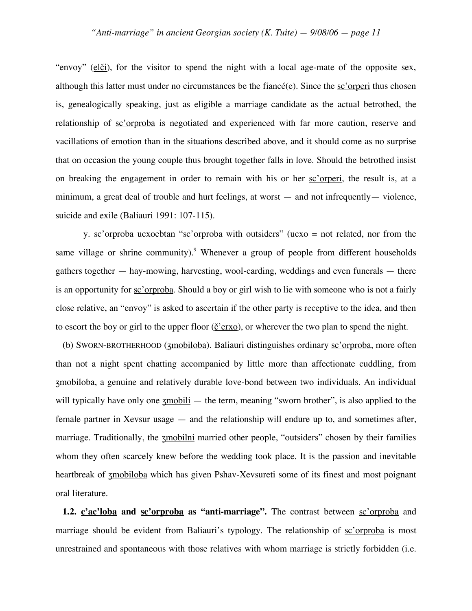"envoy" (elči), for the visitor to spend the night with a local age-mate of the opposite sex, although this latter must under no circumstances be the fiance  $(e)$ . Since the sc'orperi thus chosen is, genealogically speaking, just as eligible a marriage candidate as the actual betrothed, the relationship of sc'orproba is negotiated and experienced with far more caution, reserve and vacillations of emotion than in the situations described above, and it should come as no surprise that on occasion the young couple thus brought together falls in love. Should the betrothed insist on breaking the engagement in order to remain with his or her sc'orperi, the result is, at a minimum, a great deal of trouble and hurt feelings, at worst — and not infrequently— violence, suicide and exile (Baliauri 1991: 107-115).

y. sc'orproba ucxoebtan "sc'orproba with outsiders" ( $\underline{ucco}$  = not related, nor from the same village or shrine community).<sup>9</sup> Whenever a group of people from different households gathers together — hay-mowing, harvesting, wool-carding, weddings and even funerals — there is an opportunity for <u>sc'orproba</u>. Should a boy or girl wish to lie with someone who is not a fairly close relative, an "envoy" is asked to ascertain if the other party is receptive to the idea, and then to escort the boy or girl to the upper floor  $(\underline{\check{c}}'$  erxo), or wherever the two plan to spend the night.

(b) SWORN-BROTHERHOOD (ʒmobiloba). Baliauri distinguishes ordinary sc'orproba, more often than not a night spent chatting accompanied by little more than affectionate cuddling, from ʒmobiloba, a genuine and relatively durable love-bond between two individuals. An individual will typically have only one  $\frac{xm}{1-m}$  — the term, meaning "sworn brother", is also applied to the female partner in Xevsur usage — and the relationship will endure up to, and sometimes after, marriage. Traditionally, the <u>zmobilni</u> married other people, "outsiders" chosen by their families whom they often scarcely knew before the wedding took place. It is the passion and inevitable heartbreak of **zmobiloba** which has given Pshav-Xevsureti some of its finest and most poignant oral literature.

**1.2. c'ac'loba and sc'orproba as "anti-marriage".** The contrast between sc'orproba and marriage should be evident from Baliauri's typology. The relationship of sc'orproba is most unrestrained and spontaneous with those relatives with whom marriage is strictly forbidden (i.e.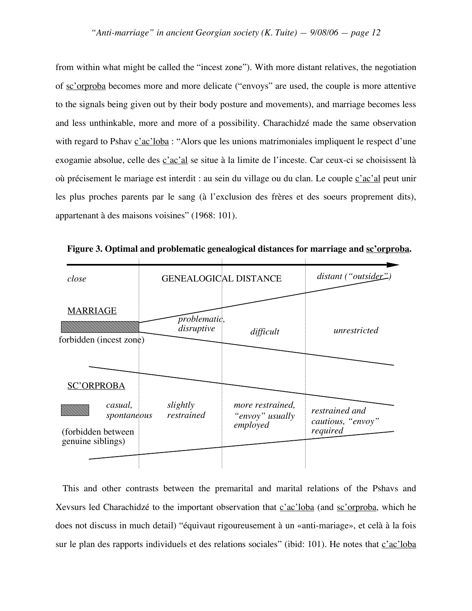from within what might be called the "incest zone"). With more distant relatives, the negotiation of sc'orproba becomes more and more delicate ("envoys" are used, the couple is more attentive to the signals being given out by their body posture and movements), and marriage becomes less and less unthinkable, more and more of a possibility. Charachidzé made the same observation with regard to Pshav c'ac'loba : "Alors que les unions matrimoniales impliquent le respect d'une exogamie absolue, celle des c'ac'al se situe à la limite de l'inceste. Car ceux-ci se choisissent là où précisement le mariage est interdit : au sein du village ou du clan. Le couple  $\frac{c'ac'al}{c'}$  peut unir les plus proches parents par le sang (à l'exclusion des frères et des soeurs proprement dits), appartenant à des maisons voisines" (1968: 101).

| close                                                             | <b>GENEALOGICAL DISTANCE</b> |                                                 | distant ("outsider")                            |
|-------------------------------------------------------------------|------------------------------|-------------------------------------------------|-------------------------------------------------|
| <b>MARRIAGE</b><br>forbidden (incest zone)                        | problematic,<br>disruptive   | difficult                                       | unrestricted                                    |
| <b>SC'ORPROBA</b>                                                 |                              |                                                 |                                                 |
| casual,<br>spontaneous<br>(forbidden between<br>genuine siblings) | slightly<br>restrained       | more restrained,<br>"envoy" usually<br>employed | restrained and<br>cautious, "envoy"<br>required |
|                                                                   |                              |                                                 |                                                 |

**Figure 3. Optimal and problematic genealogical distances for marriage and sc'orproba.**

This and other contrasts between the premarital and marital relations of the Pshavs and Xevsurs led Charachidzé to the important observation that c'ac'loba (and sc'orproba, which he does not discuss in much detail) "équivaut rigoureusement à un «anti-mariage», et celà à la fois sur le plan des rapports individuels et des relations sociales" (ibid: 101). He notes that c'ac'loba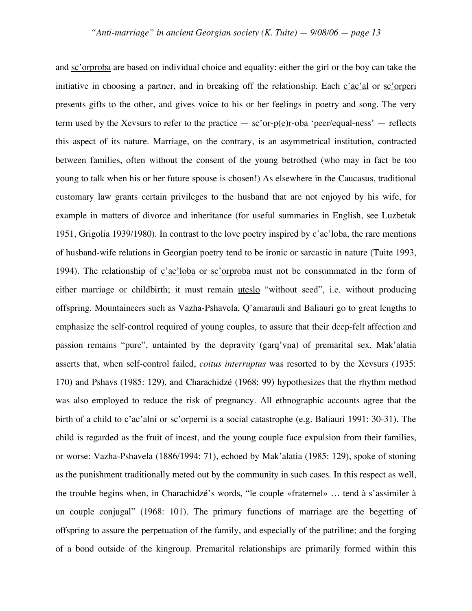and sc'orproba are based on individual choice and equality: either the girl or the boy can take the initiative in choosing a partner, and in breaking off the relationship. Each  $\vec{c}$  ac'al or sc'orperi presents gifts to the other, and gives voice to his or her feelings in poetry and song. The very term used by the Xevsurs to refer to the practice  $-$  sc'or-p(e)r-oba 'peer/equal-ness'  $-$  reflects this aspect of its nature. Marriage, on the contrary, is an asymmetrical institution, contracted between families, often without the consent of the young betrothed (who may in fact be too young to talk when his or her future spouse is chosen!) As elsewhere in the Caucasus, traditional customary law grants certain privileges to the husband that are not enjoyed by his wife, for example in matters of divorce and inheritance (for useful summaries in English, see Luzbetak 1951, Grigolia 1939/1980). In contrast to the love poetry inspired by  $c'ac'$ loba, the rare mentions of husband-wife relations in Georgian poetry tend to be ironic or sarcastic in nature (Tuite 1993, 1994). The relationship of  $c'ac'loba$  or  $sc'orproba$  must not be consummated in the form of either marriage or childbirth; it must remain uteslo "without seed", i.e. without producing offspring. Mountaineers such as Vazha-Pshavela, Q'amarauli and Baliauri go to great lengths to emphasize the self-control required of young couples, to assure that their deep-felt affection and passion remains "pure", untainted by the depravity (garq'vna) of premarital sex. Mak'alatia asserts that, when self-control failed, *coitus interruptus* was resorted to by the Xevsurs (1935: 170) and Pshavs (1985: 129), and Charachidzé (1968: 99) hypothesizes that the rhythm method was also employed to reduce the risk of pregnancy. All ethnographic accounts agree that the birth of a child to c'ac'alni or sc'orperni is a social catastrophe (e.g. Baliauri 1991: 30-31). The child is regarded as the fruit of incest, and the young couple face expulsion from their families, or worse: Vazha-Pshavela (1886/1994: 71), echoed by Mak'alatia (1985: 129), spoke of stoning as the punishment traditionally meted out by the community in such cases. In this respect as well, the trouble begins when, in Charachidzé's words, "le couple «fraternel» … tend à s'assimiler à un couple conjugal" (1968: 101). The primary functions of marriage are the begetting of offspring to assure the perpetuation of the family, and especially of the patriline; and the forging of a bond outside of the kingroup. Premarital relationships are primarily formed within this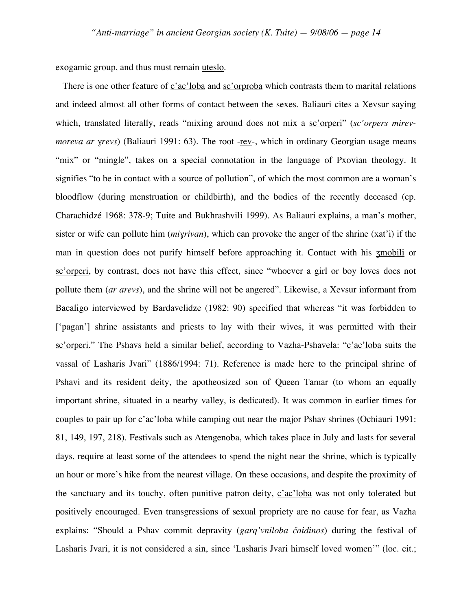exogamic group, and thus must remain uteslo.

There is one other feature of c'ac'loba and sc'orproba which contrasts them to marital relations and indeed almost all other forms of contact between the sexes. Baliauri cites a Xevsur saying which, translated literally, reads "mixing around does not mix a sc'orperi" (sc'orpers mirev*moreva ar yrevs*) (Baliauri 1991: 63). The root -rev-, which in ordinary Georgian usage means "mix" or "mingle", takes on a special connotation in the language of Pxovian theology. It signifies "to be in contact with a source of pollution", of which the most common are a woman's bloodflow (during menstruation or childbirth), and the bodies of the recently deceased (cp. Charachidzé 1968: 378-9; Tuite and Bukhrashvili 1999). As Baliauri explains, a man's mother, sister or wife can pollute him (*miɣrivan*), which can provoke the anger of the shrine (xat'i) if the man in question does not purify himself before approaching it. Contact with his ʒmobili or sc'orperi, by contrast, does not have this effect, since "whoever a girl or boy loves does not pollute them (*ar arevs*), and the shrine will not be angered". Likewise, a Xevsur informant from Bacaligo interviewed by Bardavelidze (1982: 90) specified that whereas "it was forbidden to ['pagan'] shrine assistants and priests to lay with their wives, it was permitted with their sc'orperi." The Pshavs held a similar belief, according to Vazha-Pshavela: "c'ac'loba suits the vassal of Lasharis Jvari" (1886/1994: 71). Reference is made here to the principal shrine of Pshavi and its resident deity, the apotheosized son of Queen Tamar (to whom an equally important shrine, situated in a nearby valley, is dedicated). It was common in earlier times for couples to pair up for c'ac'loba while camping out near the major Pshav shrines (Ochiauri 1991: 81, 149, 197, 218). Festivals such as Atengenoba, which takes place in July and lasts for several days, require at least some of the attendees to spend the night near the shrine, which is typically an hour or more's hike from the nearest village. On these occasions, and despite the proximity of the sanctuary and its touchy, often punitive patron deity,  $c'ac'loba$  was not only tolerated but positively encouraged. Even transgressions of sexual propriety are no cause for fear, as Vazha explains: "Should a Pshav commit depravity (*garq'vniloba čaidinos*) during the festival of Lasharis Jvari, it is not considered a sin, since 'Lasharis Jvari himself loved women'" (loc. cit.;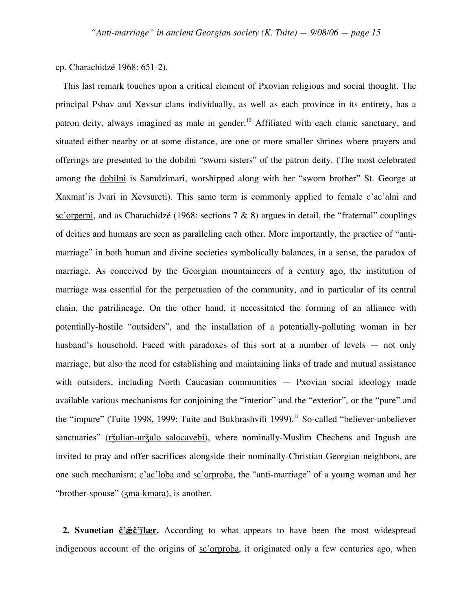### cp. Charachidzé 1968: 651-2).

This last remark touches upon a critical element of Pxovian religious and social thought. The principal Pshav and Xevsur clans individually, as well as each province in its entirety, has a patron deity, always imagined as male in gender.<sup>10</sup> Affiliated with each clanic sanctuary, and situated either nearby or at some distance, are one or more smaller shrines where prayers and offerings are presented to the dobilni "sworn sisters" of the patron deity. (The most celebrated among the dobilni is Samdzimari, worshipped along with her "sworn brother" St. George at Xaxmat'is Jvari in Xevsureti). This same term is commonly applied to female  $\frac{c'ac'alni}{c'}$  and sc'orperni, and as Charachidzé (1968: sections 7 & 8) argues in detail, the "fraternal" couplings of deities and humans are seen as paralleling each other. More importantly, the practice of "antimarriage" in both human and divine societies symbolically balances, in a sense, the paradox of marriage. As conceived by the Georgian mountaineers of a century ago, the institution of marriage was essential for the perpetuation of the community, and in particular of its central chain, the patrilineage. On the other hand, it necessitated the forming of an alliance with potentially-hostile "outsiders", and the installation of a potentially-polluting woman in her husband's household. Faced with paradoxes of this sort at a number of levels — not only marriage, but also the need for establishing and maintaining links of trade and mutual assistance with outsiders, including North Caucasian communities — Pxovian social ideology made available various mechanisms for conjoining the "interior" and the "exterior", or the "pure" and the "impure" (Tuite 1998, 1999; Tuite and Bukhrashvili 1999).<sup>11</sup> So-called "believer-unbeliever sanctuaries" (ržulian-uržulo salocavebi), where nominally-Muslim Chechens and Ingush are invited to pray and offer sacrifices alongside their nominally-Christian Georgian neighbors, are one such mechanism; c'ac'loba and sc'orproba, the "anti-marriage" of a young woman and her "brother-spouse" (zma-kmara), is another.

2. **Svanetian č**<sup>2</sup>*<u>æč***<sup>\*</sup><b>Ilær**. According to what appears to have been the most widespread</u> indigenous account of the origins of sc'orproba, it originated only a few centuries ago, when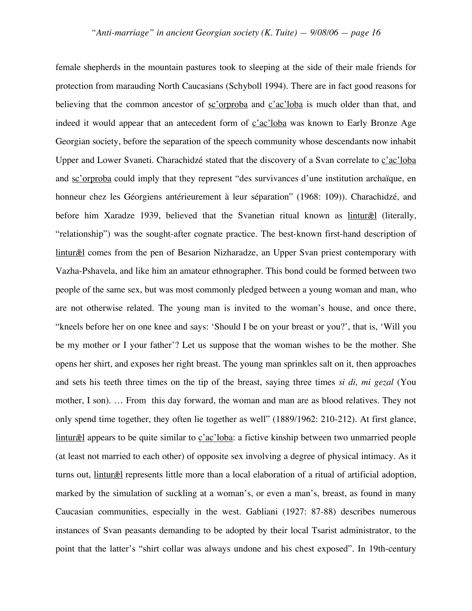female shepherds in the mountain pastures took to sleeping at the side of their male friends for protection from marauding North Caucasians (Schyboll 1994). There are in fact good reasons for believing that the common ancestor of sc'orproba and c'ac'loba is much older than that, and indeed it would appear that an antecedent form of c'ac'loba was known to Early Bronze Age Georgian society, before the separation of the speech community whose descendants now inhabit Upper and Lower Svaneti. Charachidzé stated that the discovery of a Svan correlate to c'ac'loba and sc'orproba could imply that they represent "des survivances d'une institution archaïque, en honneur chez les Géorgiens antérieurement à leur séparation" (1968: 109)). Charachidzé, and before him Xaradze 1939, believed that the Svanetian ritual known as linturæl (literally, "relationship") was the sought-after cognate practice. The best-known first-hand description of lintur $\bar{z}$ **l** comes from the pen of Besarion Nizharadze, an Upper Svan priest contemporary with Vazha-Pshavela, and like him an amateur ethnographer. This bond could be formed between two people of the same sex, but was most commonly pledged between a young woman and man, who are not otherwise related. The young man is invited to the woman's house, and once there, "kneels before her on one knee and says: 'Should I be on your breast or you?', that is, 'Will you be my mother or I your father'? Let us suppose that the woman wishes to be the mother. She opens her shirt, and exposes her right breast. The young man sprinkles salt on it, then approaches and sets his teeth three times on the tip of the breast, saying three times *si di, mi gezal* (You mother, I son). … From this day forward, the woman and man are as blood relatives. They not only spend time together, they often lie together as well" (1889/1962: 210-212). At first glance, lintur $\bar{a}$ l appears to be quite similar to c'ac'loba: a fictive kinship between two unmarried people (at least not married to each other) of opposite sex involving a degree of physical intimacy. As it turns out, *lintur*<sup> $\bar{z}$ </sup>l represents little more than a local elaboration of a ritual of artificial adoption, marked by the simulation of suckling at a woman's, or even a man's, breast, as found in many Caucasian communities, especially in the west. Gabliani (1927: 87-88) describes numerous instances of Svan peasants demanding to be adopted by their local Tsarist administrator, to the point that the latter's "shirt collar was always undone and his chest exposed". In 19th-century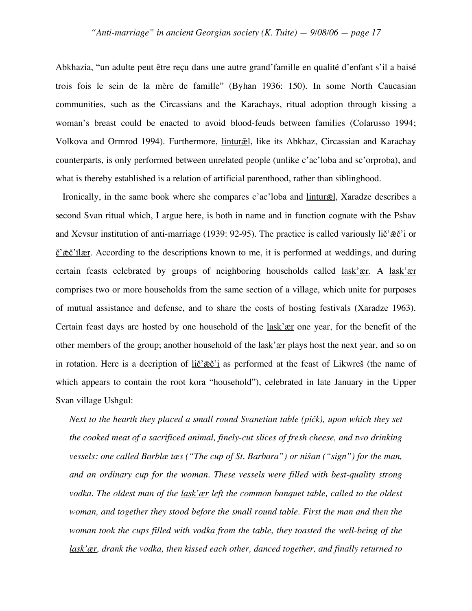Abkhazia, "un adulte peut être reçu dans une autre grand'famille en qualité d'enfant s'il a baisé trois fois le sein de la mère de famille" (Byhan 1936: 150). In some North Caucasian communities, such as the Circassians and the Karachays, ritual adoption through kissing a woman's breast could be enacted to avoid blood-feuds between families (Colarusso 1994; Volkova and Ormrod 1994). Furthermore, *lintur*æl, like its Abkhaz, Circassian and Karachay counterparts, is only performed between unrelated people (unlike *c*'ac'loba and *sc*'orproba), and what is thereby established is a relation of artificial parenthood, rather than siblinghood.

Ironically, in the same book where she compares *c'ac'loba* and *lintur* $\bar{z}$ l, Xaradze describes a second Svan ritual which, I argue here, is both in name and in function cognate with the Pshav and Xevsur institution of anti-marriage (1939: 92-95). The practice is called variously  $\text{lič' } \tilde{\mathfrak{g}} \tilde{\mathfrak{c}}'$  or  $\check{\mathcal{C}}'$  $\check{\mathcal{E}}$  $\check{\mathcal{C}}'$  $\mathsf{flær}$ . According to the descriptions known to me, it is performed at weddings, and during certain feasts celebrated by groups of neighboring households called lask'ær. A lask'ær comprises two or more households from the same section of a village, which unite for purposes of mutual assistance and defense, and to share the costs of hosting festivals (Xaradze 1963). Certain feast days are hosted by one household of the <u>lask'ær</u> one year, for the benefit of the other members of the group; another household of the lask'ær plays host the next year, and so on in rotation. Here is a decription of  $\text{lič'æč'i}$  as performed at the feast of Likwreš (the name of which appears to contain the root kora "household"), celebrated in late January in the Upper Svan village Ushgul:

*Next to the hearth they placed a small round Svanetian table (pičk), upon which they set the cooked meat of a sacrificed animal, finely-cut slices of fresh cheese, and two drinking vessels: one called Barblæ tæs ("The cup of St. Barbara") or nišan ("sign") for the man, and an ordinary cup for the woman. These vessels were filled with best-quality strong vodka. The oldest man of the lask'ær left the common banquet table, called to the oldest woman, and together they stood before the small round table. First the man and then the woman took the cups filled with vodka from the table, they toasted the well-being of the lask'ær, drank the vodka, then kissed each other, danced together, and finally returned to*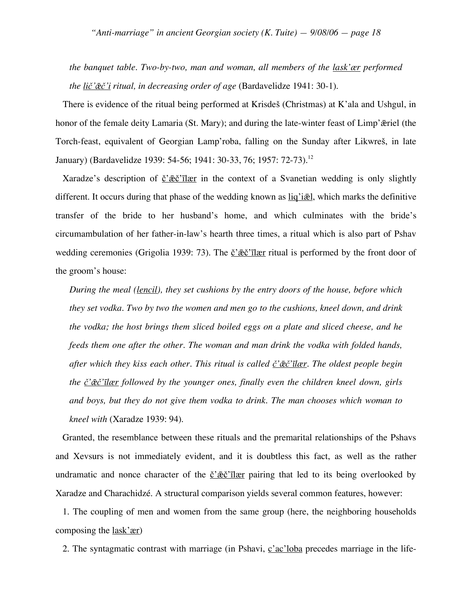*the banquet table. Two-by-two, man and woman, all members of the lask'ær performed the lič'ǣč'i ritual, in decreasing order of age* (Bardavelidze 1941: 30-1).

There is evidence of the ritual being performed at Krisdeš (Christmas) at K'ala and Ushgul, in honor of the female deity Lamaria (St. Mary); and during the late-winter feast of Limp' $\bar{x}$ riel (the Torch-feast, equivalent of Georgian Lamp'roba, falling on the Sunday after Likwreš, in late January) (Bardavelidze 1939: 54-56; 1941: 30-33, 76; 1957: 72-73). 12

Xaradze's description of  $\check{c}' \check{c} \check{c}' \check{c} \check{c}''$  in the context of a Svanetian wedding is only slightly different. It occurs during that phase of the wedding known as  $\text{li}q'$  i.e., which marks the definitive transfer of the bride to her husband's home, and which culminates with the bride's circumambulation of her father-in-law's hearth three times, a ritual which is also part of Pshav wedding ceremonies (Grigolia 1939: 73). The č' $\vec{e}$ c'<sup>7</sup>ilær ritual is performed by the front door of the groom's house:

*During the meal (lencil), they set cushions by the entry doors of the house, before which they set vodka. Two by two the women and men go to the cushions, kneel down, and drink the vodka; the host brings them sliced boiled eggs on a plate and sliced cheese, and he feeds them one after the other. The woman and man drink the vodka with folded hands, after which they kiss each other. This ritual is called č'ǣč'īlær. The oldest people begin the č'ǣč'īlær followed by the younger ones, finally even the children kneel down, girls and boys, but they do not give them vodka to drink. The man chooses which woman to kneel with* (Xaradze 1939: 94).

Granted, the resemblance between these rituals and the premarital relationships of the Pshavs and Xevsurs is not immediately evident, and it is doubtless this fact, as well as the rather undramatic and nonce character of the  $\check{c}' \check{c} \check{c}' \check{c}' \check{c}''$  pairing that led to its being overlooked by Xaradze and Charachidzé. A structural comparison yields several common features, however:

1. The coupling of men and women from the same group (here, the neighboring households composing the lask'ær)

2. The syntagmatic contrast with marriage (in Pshavi, c'ac'loba precedes marriage in the life-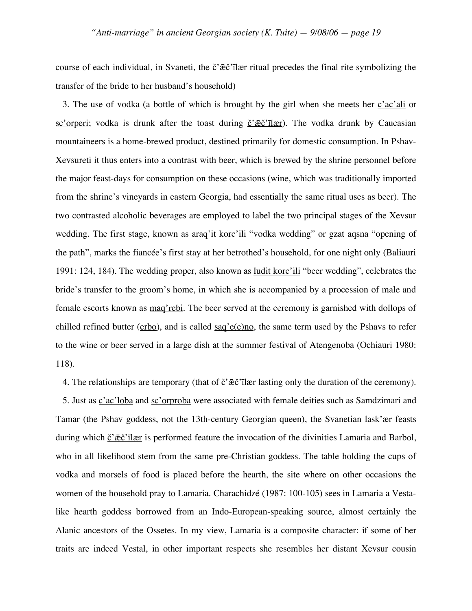course of each individual, in Svaneti, the  $\check{c}' \check{c} \check{c}' \check{c}'$  ritual precedes the final rite symbolizing the transfer of the bride to her husband's household)

3. The use of vodka (a bottle of which is brought by the girl when she meets her  $\frac{c'ac'ali}{c'}$  or sc'orperi; vodka is drunk after the toast during  $\check{c}'\check{c}\check{c}'\check{c}'$  The vodka drunk by Caucasian mountaineers is a home-brewed product, destined primarily for domestic consumption. In Pshav-Xevsureti it thus enters into a contrast with beer, which is brewed by the shrine personnel before the major feast-days for consumption on these occasions (wine, which was traditionally imported from the shrine's vineyards in eastern Georgia, had essentially the same ritual uses as beer). The two contrasted alcoholic beverages are employed to label the two principal stages of the Xevsur wedding. The first stage, known as araq'it korc'ili "vodka wedding" or gzat aqsna "opening of the path", marks the fiancée's first stay at her betrothed's household, for one night only (Baliauri 1991: 124, 184). The wedding proper, also known as ludit korc'ili "beer wedding", celebrates the bride's transfer to the groom's home, in which she is accompanied by a procession of male and female escorts known as maq'rebi. The beer served at the ceremony is garnished with dollops of chilled refined butter ( $erbo$ ), and is called  $saq'e(e)no$ , the same term used by the Pshavs to refer</u> to the wine or beer served in a large dish at the summer festival of Atengenoba (Ochiauri 1980: 118).

4. The relationships are temporary (that of  $\check{c}' \check{\mathcal{R}} \check{c}' \check{\mathcal{R}} \check{\mathcal{C}}' \check{\mathcal{R}}$  lasting only the duration of the ceremony).

5. Just as c'ac'loba and sc'orproba were associated with female deities such as Samdzimari and Tamar (the Pshav goddess, not the 13th-century Georgian queen), the Svanetian lask'ær feasts during which  $\check{c}'\check{c}\check{c}'\check{d}$  is performed feature the invocation of the divinities Lamaria and Barbol, who in all likelihood stem from the same pre-Christian goddess. The table holding the cups of vodka and morsels of food is placed before the hearth, the site where on other occasions the women of the household pray to Lamaria. Charachidzé (1987: 100-105) sees in Lamaria a Vestalike hearth goddess borrowed from an Indo-European-speaking source, almost certainly the Alanic ancestors of the Ossetes. In my view, Lamaria is a composite character: if some of her traits are indeed Vestal, in other important respects she resembles her distant Xevsur cousin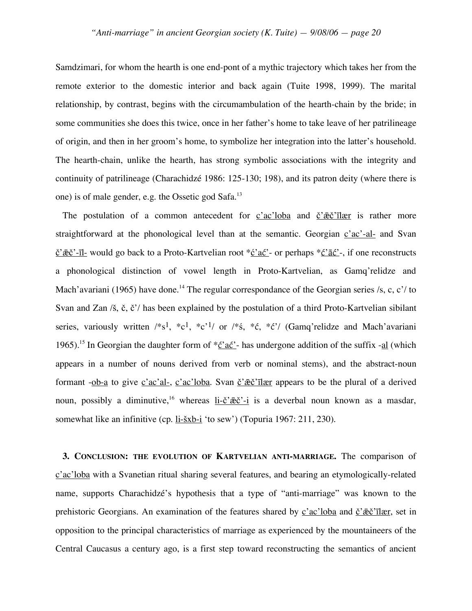Samdzimari, for whom the hearth is one end-pont of a mythic trajectory which takes her from the remote exterior to the domestic interior and back again (Tuite 1998, 1999). The marital relationship, by contrast, begins with the circumambulation of the hearth-chain by the bride; in some communities she does this twice, once in her father's home to take leave of her patrilineage of origin, and then in her groom's home, to symbolize her integration into the latter's household. The hearth-chain, unlike the hearth, has strong symbolic associations with the integrity and continuity of patrilineage (Charachidzé 1986: 125-130; 198), and its patron deity (where there is one) is of male gender, e.g. the Ossetic god Safa.<sup>13</sup>

The postulation of a common antecedent for  $c'ac'loba$  and  $\breve{c}'\overline{a}\breve{c}''\overline{c}$  is rather more straightforward at the phonological level than at the semantic. Georgian  $c'ac'-al$  and Svan  $\check{\mathcal{C}}'$  $\check{\mathcal{E}}'$ <sup>-</sup>-īl- would go back to a Proto-Kartvelian root  $*\check{\mathcal{C}}'$  ać'- or perhaps  $*\check{\mathcal{C}}'$  $\check{\mathcal{C}}'$ -, if one reconstructs a phonological distinction of vowel length in Proto-Kartvelian, as Gamq'relidze and Mach'avariani (1965) have done.<sup>14</sup> The regular correspondance of the Georgian series /s, c, c'/ to Svan and Zan /š, č, č'/ has been explained by the postulation of a third Proto-Kartvelian sibilant series, variously written  $/*s<sup>1</sup>, *c<sup>1</sup>, *c<sup>1</sup>$  or  $/*s$ ,  $*c$ ,  $*c$ '/ (Gamq'relidze and Mach'avariani 1965).<sup>15</sup> In Georgian the daughter form of  $*\underline{c}' \underline{ac}'$ - has undergone addition of the suffix - $\underline{al}$  (which appears in a number of nouns derived from verb or nominal stems), and the abstract-noun formant -ob-a to give  $\frac{c'ac'al}{c'}$ ,  $\frac{c'ac'loba}{c'}$ . Svan  $\frac{c'}{c'}$  appears to be the plural of a derived noun, possibly a diminutive,<sup>16</sup> whereas <u>li-č' $\bar{c}$ č'-i</u> is a deverbal noun known as a masdar, somewhat like an infinitive (cp. <u>li-šxb-i</u> 'to sew') (Topuria 1967: 211, 230).

**3. CONCLUSION: THE EVOLUTION OF KARTVELIAN ANTI-MARRIAGE.** The comparison of c'ac'loba with a Svanetian ritual sharing several features, and bearing an etymologically-related name, supports Charachidzé's hypothesis that a type of "anti-marriage" was known to the prehistoric Georgians. An examination of the features shared by c'ac'loba and č' $\vec{e}$ c'ilær, set in opposition to the principal characteristics of marriage as experienced by the mountaineers of the Central Caucasus a century ago, is a first step toward reconstructing the semantics of ancient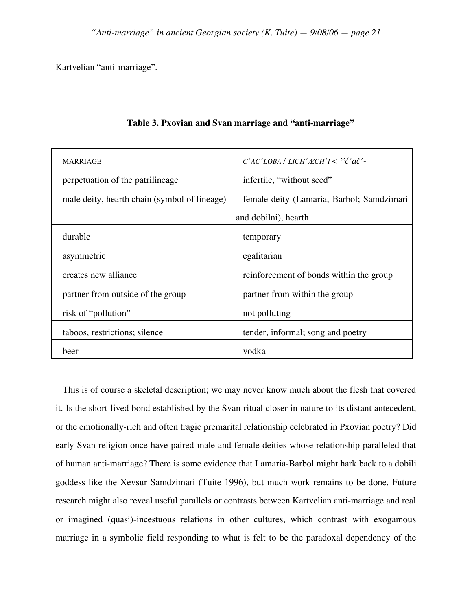Kartvelian "anti-marriage".

| <b>MARRIAGE</b>                              | $C'AC'LOBA/LICH'ECH'I < *C'ac'$ -         |  |
|----------------------------------------------|-------------------------------------------|--|
| perpetuation of the patrilineage             | infertile, "without seed"                 |  |
| male deity, hearth chain (symbol of lineage) | female deity (Lamaria, Barbol; Samdzimari |  |
|                                              | and dobilni), hearth                      |  |
| durable                                      | temporary                                 |  |
| asymmetric                                   | egalitarian                               |  |
| creates new alliance                         | reinforcement of bonds within the group   |  |
| partner from outside of the group            | partner from within the group             |  |
| risk of "pollution"                          | not polluting                             |  |
| taboos, restrictions; silence                | tender, informal; song and poetry         |  |
| beer                                         | vodka                                     |  |

## **Table 3. Pxovian and Svan marriage and "anti-marriage"**

This is of course a skeletal description; we may never know much about the flesh that covered it. Is the short-lived bond established by the Svan ritual closer in nature to its distant antecedent, or the emotionally-rich and often tragic premarital relationship celebrated in Pxovian poetry? Did early Svan religion once have paired male and female deities whose relationship paralleled that of human anti-marriage? There is some evidence that Lamaria-Barbol might hark back to a dobili goddess like the Xevsur Samdzimari (Tuite 1996), but much work remains to be done. Future research might also reveal useful parallels or contrasts between Kartvelian anti-marriage and real or imagined (quasi)-incestuous relations in other cultures, which contrast with exogamous marriage in a symbolic field responding to what is felt to be the paradoxal dependency of the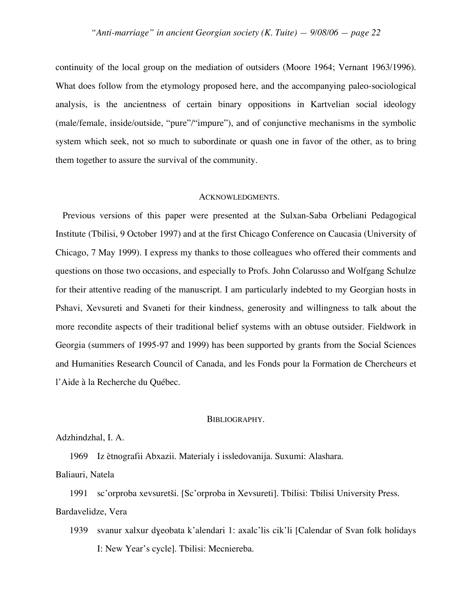continuity of the local group on the mediation of outsiders (Moore 1964; Vernant 1963/1996). What does follow from the etymology proposed here, and the accompanying paleo-sociological analysis, is the ancientness of certain binary oppositions in Kartvelian social ideology (male/female, inside/outside, "pure"/"impure"), and of conjunctive mechanisms in the symbolic system which seek, not so much to subordinate or quash one in favor of the other, as to bring them together to assure the survival of the community.

#### ACKNOWLEDGMENTS.

Previous versions of this paper were presented at the Sulxan-Saba Orbeliani Pedagogical Institute (Tbilisi, 9 October 1997) and at the first Chicago Conference on Caucasia (University of Chicago, 7 May 1999). I express my thanks to those colleagues who offered their comments and questions on those two occasions, and especially to Profs. John Colarusso and Wolfgang Schulze for their attentive reading of the manuscript. I am particularly indebted to my Georgian hosts in Pshavi, Xevsureti and Svaneti for their kindness, generosity and willingness to talk about the more recondite aspects of their traditional belief systems with an obtuse outsider. Fieldwork in Georgia (summers of 1995-97 and 1999) has been supported by grants from the Social Sciences and Humanities Research Council of Canada, and les Fonds pour la Formation de Chercheurs et l'Aide à la Recherche du Québec.

#### BIBLIOGRAPHY.

#### Adzhindzhal, I. A.

1969 Iz ètnografii Abxazii. Materialy i issledovanija. Suxumi: Alashara.

Baliauri, Natela

1991 sc'orproba xevsuretši. [Sc'orproba in Xevsureti]. Tbilisi: Tbilisi University Press. Bardavelidze, Vera

1939 svanur xalxur dɣeobata k'alendari 1: axalc'lis cik'li [Calendar of Svan folk holidays I: New Year's cycle]. Tbilisi: Mecniereba.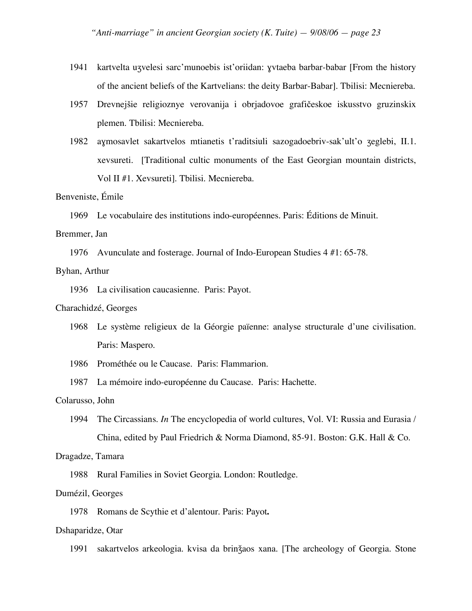- 1941 kartvelta uʒvelesi sarc'munoebis ist'oriidan: ɣvtaeba barbar-babar [From the history of the ancient beliefs of the Kartvelians: the deity Barbar-Babar]. Tbilisi: Mecniereba.
- 1957 Drevnejšie religioznye verovanija i obrjadovoe grafičeskoe iskusstvo gruzinskix plemen. Tbilisi: Mecniereba.
- 1982 aɣmosavlet sakartvelos mtianetis t'raditsiuli sazogadoebriv-sak'ult'o ʒeglebi, II.1. xevsureti. [Traditional cultic monuments of the East Georgian mountain districts, Vol II #1. Xevsureti]. Tbilisi. Mecniereba.

### Benveniste, Émile

1969 Le vocabulaire des institutions indo-européennes. Paris: Éditions de Minuit.

#### Bremmer, Jan

1976 Avunculate and fosterage. Journal of Indo-European Studies 4 #1: 65-78.

### Byhan, Arthur

1936 La civilisation caucasienne. Paris: Payot.

#### Charachidzé, Georges

- 1968 Le système religieux de la Géorgie païenne: analyse structurale d'une civilisation. Paris: Maspero.
- 1986 Prométhée ou le Caucase. Paris: Flammarion.
- 1987 La mémoire indo-européenne du Caucase. Paris: Hachette.

#### Colarusso, John

1994 The Circassians. *In* The encyclopedia of world cultures, Vol. VI: Russia and Eurasia / China, edited by Paul Friedrich & Norma Diamond, 85-91. Boston: G.K. Hall & Co.

#### Dragadze, Tamara

1988 Rural Families in Soviet Georgia. London: Routledge.

### Dumézil, Georges

1978 Romans de Scythie et d'alentour. Paris: Payot**.**

#### Dshaparidze, Otar

1991 sakartvelos arkeologia. kvisa da brinǯaos xana. [The archeology of Georgia. Stone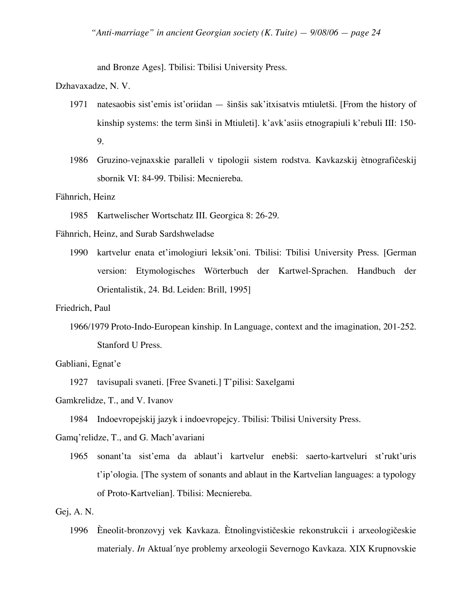and Bronze Ages]. Tbilisi: Tbilisi University Press.

Dzhavaxadze, N. V.

- 1971 natesaobis sist'emis ist'oriidan šinšis sak'itxisatvis mtiuletši. [From the history of kinship systems: the term šinši in Mtiuleti]. k'avk'asiis etnograpiuli k'rebuli III: 150- 9.
- 1986 Gruzino-vejnaxskie paralleli v tipologii sistem rodstva. Kavkazskij ètnografičeskij sbornik VI: 84-99. Tbilisi: Mecniereba.

Fähnrich, Heinz

1985 Kartwelischer Wortschatz III. Georgica 8: 26-29.

Fähnrich, Heinz, and Surab Sardshweladse

- 1990 kartvelur enata et'imologiuri leksik'oni. Tbilisi: Tbilisi University Press. [German version: Etymologisches Wörterbuch der Kartwel-Sprachen. Handbuch der Orientalistik, 24. Bd. Leiden: Brill, 1995]
- Friedrich, Paul
	- 1966/1979 Proto-Indo-European kinship. In Language, context and the imagination, 201-252. Stanford U Press.

Gabliani, Egnat'e

1927 tavisupali svaneti. [Free Svaneti.] T'pilisi: Saxelgami

Gamkrelidze, T., and V. Ivanov

1984 Indoevropejskij jazyk i indoevropejcy. Tbilisi: Tbilisi University Press.

Gamq'relidze, T., and G. Mach'avariani

1965 sonant'ta sist'ema da ablaut'i kartvelur enebši: saerto-kartveluri st'rukt'uris t'ip'ologia. [The system of sonants and ablaut in the Kartvelian languages: a typology of Proto-Kartvelian]. Tbilisi: Mecniereba.

## Gej, A. N.

1996 Èneolit-bronzovyj vek Kavkaza. Ètnolingvističeskie rekonstrukcii i arxeologičeskie materialy. *In* Aktual´nye problemy arxeologii Severnogo Kavkaza. XIX Krupnovskie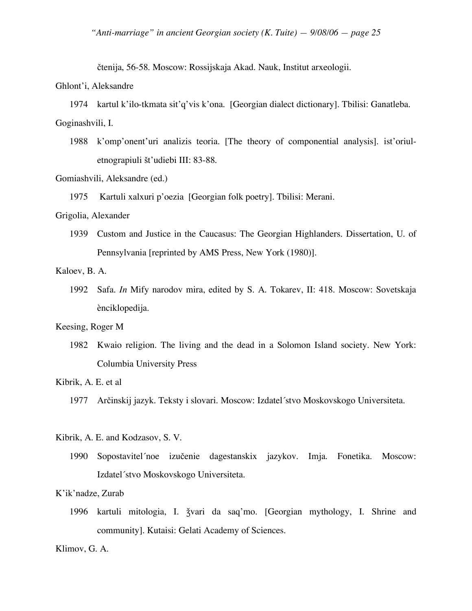čtenija, 56-58. Moscow: Rossijskaja Akad. Nauk, Institut arxeologii.

#### Ghlont'i, Aleksandre

1974 kartul k'ilo-tkmata sit'q'vis k'ona. [Georgian dialect dictionary]. Tbilisi: Ganatleba. Goginashvili, I.

1988 k'omp'onent'uri analizis teoria. [The theory of componential analysis]. ist'oriuletnograpiuli št'udiebi III: 83-88.

Gomiashvili, Aleksandre (ed.)

1975 Kartuli xalxuri p'oezia [Georgian folk poetry]. Tbilisi: Merani.

## Grigolia, Alexander

1939 Custom and Justice in the Caucasus: The Georgian Highlanders. Dissertation, U. of Pennsylvania [reprinted by AMS Press, New York (1980)].

Kaloev, B. A.

1992 Safa. *In* Mify narodov mira, edited by S. A. Tokarev, II: 418. Moscow: Sovetskaja ènciklopedija.

### Keesing, Roger M

1982 Kwaio religion. The living and the dead in a Solomon Island society. New York: Columbia University Press

Kibrik, A. E. et al

Kibrik, A. E. and Kodzasov, S. V.

1990 Sopostavitel´noe izučenie dagestanskix jazykov. Imja. Fonetika. Moscow: Izdatel´stvo Moskovskogo Universiteta.

## K'ik'nadze, Zurab

1996 kartuli mitologia, I. ǯvari da saq'mo. [Georgian mythology, I. Shrine and community]. Kutaisi: Gelati Academy of Sciences.

Klimov, G. A.

<sup>1977</sup> Arčinskij jazyk. Teksty i slovari. Moscow: Izdatel´stvo Moskovskogo Universiteta.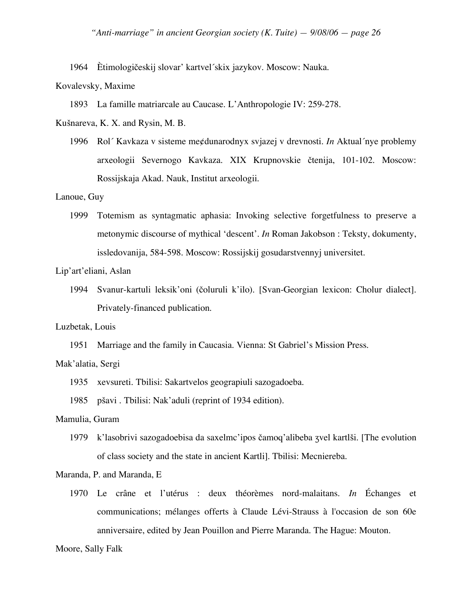1964 Ètimologičeskij slovar' kartvel´skix jazykov. Moscow: Nauka.

#### Kovalevsky, Maxime

1893 La famille matriarcale au Caucase. L'Anthropologie IV: 259-278.

Kušnareva, K. X. and Rysin, M. B.

1996 Rol´ Kavkaza v sisteme me¢dunarodnyx svjazej v drevnosti. *In* Aktual´nye problemy arxeologii Severnogo Kavkaza. XIX Krupnovskie čtenija, 101-102. Moscow: Rossijskaja Akad. Nauk, Institut arxeologii.

### Lanoue, Guy

1999 Totemism as syntagmatic aphasia: Invoking selective forgetfulness to preserve a metonymic discourse of mythical 'descent'. *In* Roman Jakobson : Teksty, dokumenty, issledovanija, 584-598. Moscow: Rossijskij gosudarstvennyj universitet.

# Lip'art'eliani, Aslan

1994 Svanur-kartuli leksik'oni (čoluruli k'ilo). [Svan-Georgian lexicon: Cholur dialect]. Privately-financed publication.

### Luzbetak, Louis

1951 Marriage and the family in Caucasia. Vienna: St Gabriel's Mission Press.

#### Mak'alatia, Sergi

- 1935 xevsureti. Tbilisi: Sakartvelos geograpiuli sazogadoeba.
- 1985 pšavi . Tbilisi: Nak'aduli (reprint of 1934 edition).

## Mamulia, Guram

1979 k'lasobrivi sazogadoebisa da saxelmc'ipos čamoq'alibeba ʒvel kartlši. [The evolution of class society and the state in ancient Kartli]. Tbilisi: Mecniereba.

### Maranda, P. and Maranda, E

1970 Le crâne et l'utérus : deux théorèmes nord-malaitans. *In* Échanges et communications; mélanges offerts à Claude Lévi-Strauss à l'occasion de son 60e anniversaire, edited by Jean Pouillon and Pierre Maranda. The Hague: Mouton.

#### Moore, Sally Falk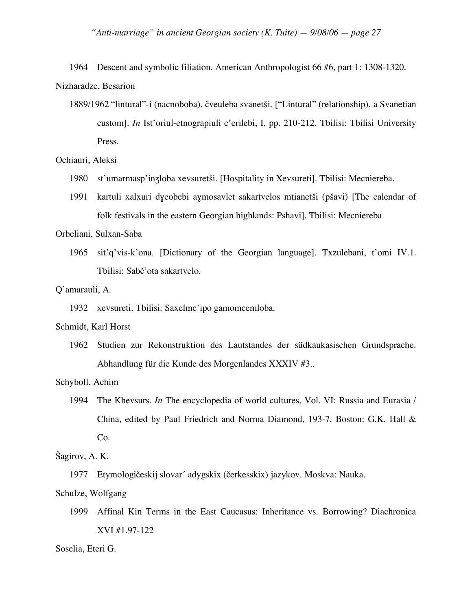1964 Descent and symbolic filiation. American Anthropologist 66 #6, part 1: 1308-1320. Nizharadze, Besarion

1889/1962 "lintural"-i (nacnoboba). čveuleba svanetši. ["Lintural" (relationship), a Svanetian custom]. *In* Ist'oriul-etnograpiuli c'erilebi, I, pp. 210-212. Tbilisi: Tbilisi University Press.

## Ochiauri, Aleksi

- 1980 st'umarmasp'inʒloba xevsuretši. [Hospitality in Xevsureti]. Tbilisi: Mecniereba.
- 1991 kartuli xalxuri dɣeobebi aɣmosavlet sakartvelos mtianetši (pšavi) [The calendar of folk festivals in the eastern Georgian highlands: Pshavi]. Tbilisi: Mecniereba

Orbeliani, Sulxan-Saba

1965 sit'q'vis-k'ona. [Dictionary of the Georgian language]. Txzulebani, t'omi IV.1. Tbilisi: Sabč'ota sakartvelo.

### Q'amarauli, A.

1932 xevsureti. Tbilisi: Saxelmc'ipo gamomcemloba.

# Schmidt, Karl Horst

1962 Studien zur Rekonstruktion des Lautstandes der südkaukasischen Grundsprache. Abhandlung für die Kunde des Morgenlandes XXXIV #3..

## Schyboll, Achim

1994 The Khevsurs. *In* The encyclopedia of world cultures, Vol. VI: Russia and Eurasia / China, edited by Paul Friedrich and Norma Diamond, 193-7. Boston: G.K. Hall & Co.

### Šagirov, A. K.

1977 Etymologičeskij slovar´ adygskix (čerkesskix) jazykov. Moskva: Nauka.

### Schulze, Wolfgang

1999 Affinal Kin Terms in the East Caucasus: Inheritance vs. Borrowing? Diachronica XVI #1.97-122

Soselia, Eteri G.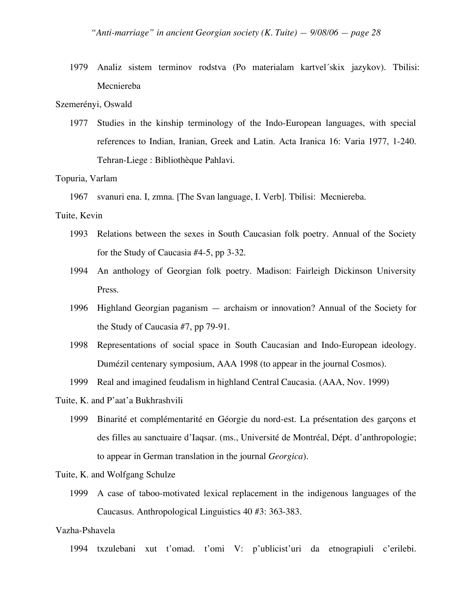1979 Analiz sistem terminov rodstva (Po materialam kartvel´skix jazykov). Tbilisi: Mecniereba

### Szemerényi, Oswald

1977 Studies in the kinship terminology of the Indo-European languages, with special references to Indian, Iranian, Greek and Latin. Acta Iranica 16: Varia 1977, 1-240. Tehran-Liege : Bibliothèque Pahlavi.

### Topuria, Varlam

1967 svanuri ena. I, zmna. [The Svan language, I. Verb]. Tbilisi: Mecniereba.

# Tuite, Kevin

- 1993 Relations between the sexes in South Caucasian folk poetry. Annual of the Society for the Study of Caucasia #4-5, pp 3-32.
- 1994 An anthology of Georgian folk poetry. Madison: Fairleigh Dickinson University Press.
- 1996 Highland Georgian paganism archaism or innovation? Annual of the Society for the Study of Caucasia #7, pp 79-91.
- 1998 Representations of social space in South Caucasian and Indo-European ideology. Dumézil centenary symposium, AAA 1998 (to appear in the journal Cosmos).
- 1999 Real and imagined feudalism in highland Central Caucasia. (AAA, Nov. 1999)
- Tuite, K. and P'aat'a Bukhrashvili
	- 1999 Binarité et complémentarité en Géorgie du nord-est. La présentation des garçons et des filles au sanctuaire d'Iaqsar. (ms., Université de Montréal, Dépt. d'anthropologie; to appear in German translation in the journal *Georgica*).

### Tuite, K. and Wolfgang Schulze

1999 A case of taboo-motivated lexical replacement in the indigenous languages of the Caucasus. Anthropological Linguistics 40 #3: 363-383.

## Vazha-Pshavela

1994 txzulebani xut t'omad. t'omi V: p'ublicist'uri da etnograpiuli c'erilebi.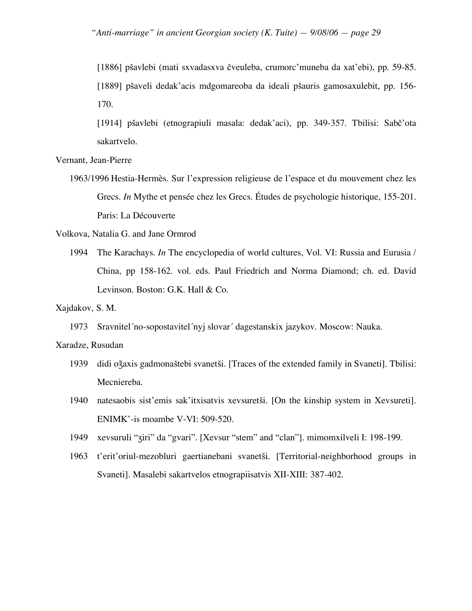[1886] pšavlebi (mati sxvadasxva čveuleba, crumorc'muneba da xat'ebi), pp. 59-85. [1889] pšaveli dedak'acis mdgomareoba da ideali pšauris gamosaxulebit, pp. 156- 170.

[1914] pšavlebi (etnograpiuli masala: dedak'aci), pp. 349-357. Tbilisi: Sabč'ota sakartvelo.

Vernant, Jean-Pierre

1963/1996 Hestia-Hermès. Sur l'expression religieuse de l'espace et du mouvement chez les Grecs. *In* Mythe et pensée chez les Grecs. Études de psychologie historique, 155-201. Paris: La Découverte

Volkova, Natalia G. and Jane Ormrod

1994 The Karachays. *In* The encyclopedia of world cultures, Vol. VI: Russia and Eurasia / China, pp 158-162. vol. eds. Paul Friedrich and Norma Diamond; ch. ed. David Levinson. Boston: G.K. Hall & Co.

#### Xajdakov, S. M.

1973 Sravnitel´no-sopostavitel´nyj slovar´ dagestanskix jazykov. Moscow: Nauka.

# Xaradze, Rusudan

- 1939 didi oǯaxis gadmonaštebi svanetši. [Traces of the extended family in Svaneti]. Tbilisi: Mecniereba.
- 1940 natesaobis sist'emis sak'itxisatvis xevsuretši. [On the kinship system in Xevsureti]. ENIMK'-is moambe V-VI: 509-520.
- 1949 xevsuruli "ʒiri" da "gvari". [Xevsur "stem" and "clan"]. mimomxilveli I: 198-199.
- 1963 t'erit'oriul-mezobluri gaertianebani svanetši. [Territorial-neighborhood groups in Svaneti]. Masalebi sakartvelos etnograpiisatvis XII-XIII: 387-402.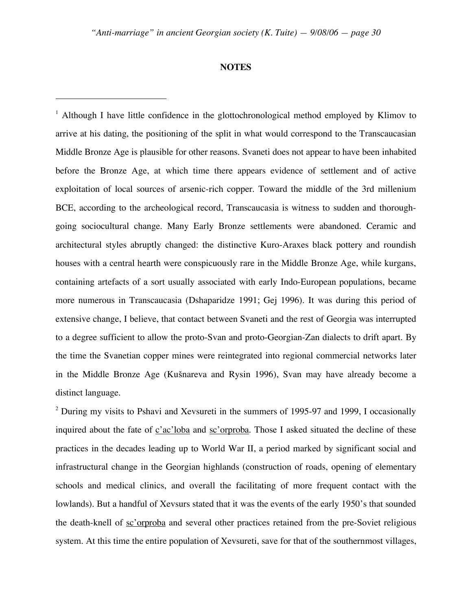### **NOTES**

 $\overline{a}$ 

<sup>1</sup> Although I have little confidence in the glottochronological method employed by Klimov to arrive at his dating, the positioning of the split in what would correspond to the Transcaucasian Middle Bronze Age is plausible for other reasons. Svaneti does not appear to have been inhabited before the Bronze Age, at which time there appears evidence of settlement and of active exploitation of local sources of arsenic-rich copper. Toward the middle of the 3rd millenium BCE, according to the archeological record, Transcaucasia is witness to sudden and thoroughgoing sociocultural change. Many Early Bronze settlements were abandoned. Ceramic and architectural styles abruptly changed: the distinctive Kuro-Araxes black pottery and roundish houses with a central hearth were conspicuously rare in the Middle Bronze Age, while kurgans, containing artefacts of a sort usually associated with early Indo-European populations, became more numerous in Transcaucasia (Dshaparidze 1991; Gej 1996). It was during this period of extensive change, I believe, that contact between Svaneti and the rest of Georgia was interrupted to a degree sufficient to allow the proto-Svan and proto-Georgian-Zan dialects to drift apart. By the time the Svanetian copper mines were reintegrated into regional commercial networks later in the Middle Bronze Age (Kušnareva and Rysin 1996), Svan may have already become a distinct language.

<sup>2</sup> During my visits to Pshavi and Xevsureti in the summers of 1995-97 and 1999, I occasionally inquired about the fate of c'ac'loba and sc'orproba. Those I asked situated the decline of these practices in the decades leading up to World War II, a period marked by significant social and infrastructural change in the Georgian highlands (construction of roads, opening of elementary schools and medical clinics, and overall the facilitating of more frequent contact with the lowlands). But a handful of Xevsurs stated that it was the events of the early 1950's that sounded the death-knell of sc'orproba and several other practices retained from the pre-Soviet religious system. At this time the entire population of Xevsureti, save for that of the southernmost villages,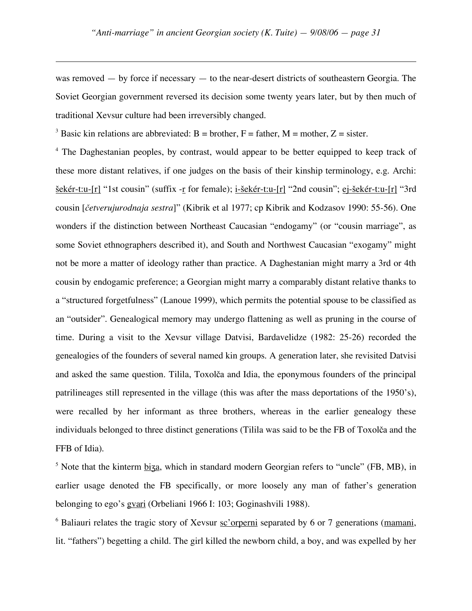was removed — by force if necessary — to the near-desert districts of southeastern Georgia. The Soviet Georgian government reversed its decision some twenty years later, but by then much of traditional Xevsur culture had been irreversibly changed.

<sup>3</sup> Basic kin relations are abbreviated: B = brother, F = father, M = mother, Z = sister.

 $\overline{a}$ 

<sup>4</sup> The Daghestanian peoples, by contrast, would appear to be better equipped to keep track of these more distant relatives, if one judges on the basis of their kinship terminology, e.g. Archi: šekér-t:u-[r] "1st cousin" (suffix -r for female); i-šekér-t:u-[r] "2nd cousin"; ej-šekér-t:u-[r] "3rd cousin [*četverujurodnaja sestra*]" (Kibrik et al 1977; cp Kibrik and Kodzasov 1990: 55-56). One wonders if the distinction between Northeast Caucasian "endogamy" (or "cousin marriage", as some Soviet ethnographers described it), and South and Northwest Caucasian "exogamy" might not be more a matter of ideology rather than practice. A Daghestanian might marry a 3rd or 4th cousin by endogamic preference; a Georgian might marry a comparably distant relative thanks to a "structured forgetfulness" (Lanoue 1999), which permits the potential spouse to be classified as an "outsider". Genealogical memory may undergo flattening as well as pruning in the course of time. During a visit to the Xevsur village Datvisi, Bardavelidze (1982: 25-26) recorded the genealogies of the founders of several named kin groups. A generation later, she revisited Datvisi and asked the same question. Tilila, Toxolča and Idia, the eponymous founders of the principal patrilineages still represented in the village (this was after the mass deportations of the 1950's), were recalled by her informant as three brothers, whereas in the earlier genealogy these individuals belonged to three distinct generations (Tilila was said to be the FB of Toxolča and the FFB of Idia).

 $<sup>5</sup>$  Note that the kinterm biza, which in standard modern Georgian refers to "uncle" (FB, MB), in</sup> earlier usage denoted the FB specifically, or more loosely any man of father's generation belonging to ego's gvari (Orbeliani 1966 I: 103; Goginashvili 1988).

<sup>6</sup> Baliauri relates the tragic story of Xevsur sc'orperni separated by 6 or 7 generations (mamani, lit. "fathers") begetting a child. The girl killed the newborn child, a boy, and was expelled by her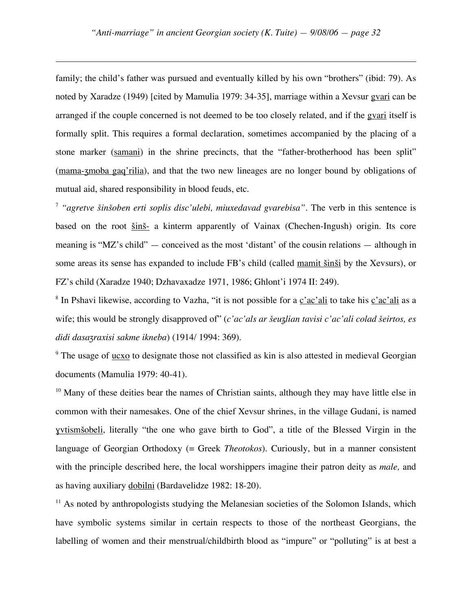$\overline{a}$ 

family; the child's father was pursued and eventually killed by his own "brothers" (ibid: 79). As noted by Xaradze (1949) [cited by Mamulia 1979: 34-35], marriage within a Xevsur gvari can be arranged if the couple concerned is not deemed to be too closely related, and if the gvari itself is formally split. This requires a formal declaration, sometimes accompanied by the placing of a stone marker (samani) in the shrine precincts, that the "father-brotherhood has been split" (mama-ʒmoba gaq'rilia), and that the two new lineages are no longer bound by obligations of mutual aid, shared responsibility in blood feuds, etc.

<sup>7</sup> *"agretve šinšoben erti soplis disc'ulebi, miuxedavad gvarebisa".* The verb in this sentence is based on the root šinš- a kinterm apparently of Vainax (Chechen-Ingush) origin. Its core meaning is "MZ's child" — conceived as the most 'distant' of the cousin relations — although in some areas its sense has expanded to include FB's child (called mamit šinši by the Xevsurs), or FZ's child (Xaradze 1940; Dzhavaxadze 1971, 1986; Ghlont'i 1974 II: 249).

<sup>8</sup> In Pshavi likewise, according to Vazha, "it is not possible for a c'ac'ali to take his c'ac'ali as a wife; this would be strongly disapproved of" (*c'ac'als ar šeuʒlian tavisi c'ac'ali colad šeirtos, es didi dasaʒraxisi sakme ikneba*) (1914/ 1994: 369).

<sup>9</sup> The usage of ucxo to designate those not classified as kin is also attested in medieval Georgian documents (Mamulia 1979: 40-41).

 $10$  Many of these deities bear the names of Christian saints, although they may have little else in common with their namesakes. One of the chief Xevsur shrines, in the village Gudani, is named ɣvtismšobeli, literally "the one who gave birth to God", a title of the Blessed Virgin in the language of Georgian Orthodoxy (= Greek *Theotokos*). Curiously, but in a manner consistent with the principle described here, the local worshippers imagine their patron deity as *male,* and as having auxiliary dobilni (Bardavelidze 1982: 18-20).

 $11$  As noted by anthropologists studying the Melanesian societies of the Solomon Islands, which have symbolic systems similar in certain respects to those of the northeast Georgians, the labelling of women and their menstrual/childbirth blood as "impure" or "polluting" is at best a